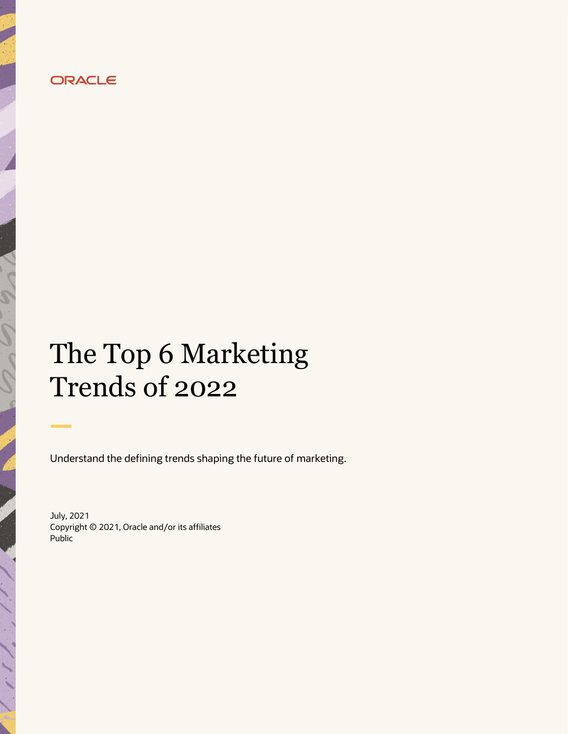

# The Top 6 Marketing Trends of 2022

Understand the defining trends shaping the future of marketing.

July, 2021 Copyright © 2021, Oracle and/or its affiliates Public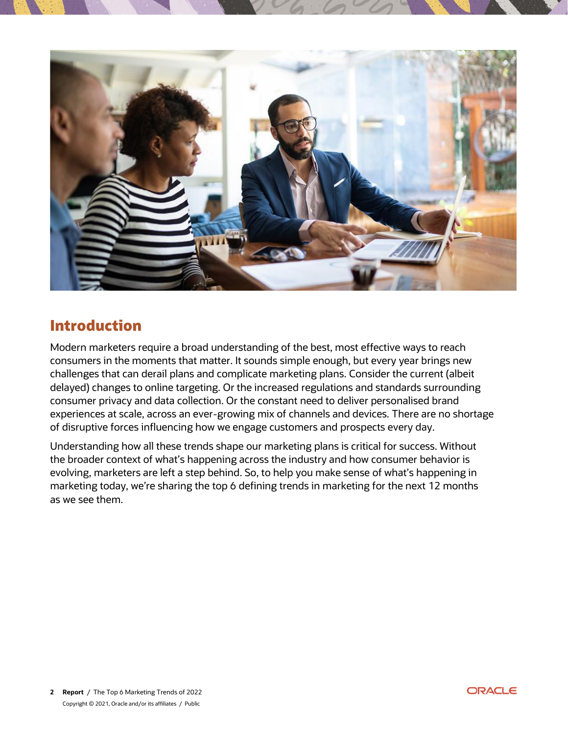

### **Introduction**

Modern marketers require a broad understanding of the best, most effective ways to reach consumers in the moments that matter. It sounds simple enough, but every year brings new challenges that can derail plans and complicate marketing plans. Consider the current (albeit delayed) changes to online targeting. Or the increased regulations and standards surrounding consumer privacy and data collection. Or the constant need to deliver personalised brand experiences at scale, across an ever-growing mix of channels and devices. There are no shortage of disruptive forces influencing how we engage customers and prospects every day.

Understanding how all these trends shape our marketing plans is critical for success. Without the broader context of what's happening across the industry and how consumer behavior is evolving, marketers are left a step behind. So, to help you make sense of what's happening in marketing today, we're sharing the top 6 defining trends in marketing for the next 12 months as we see them.

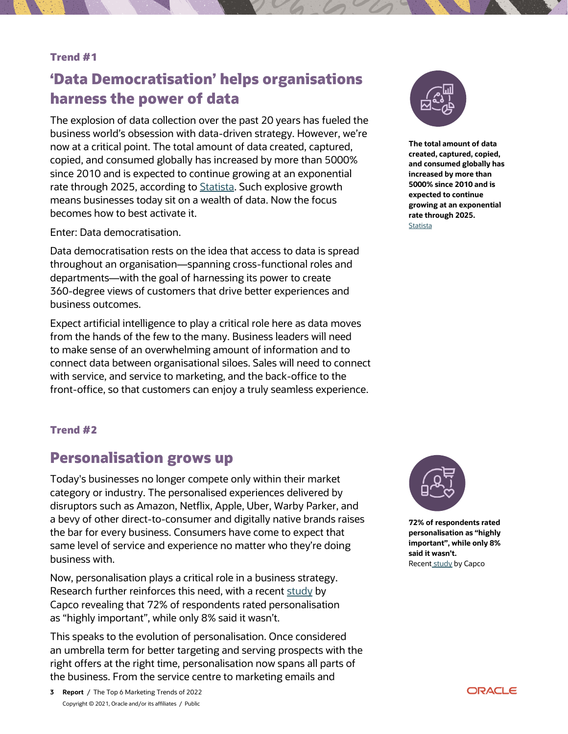#### **Trend #1**

### **'Data Democratisation' helps organisations harness the power of data**

The explosion of data collection over the past 20 years has fueled the business world's obsession with data-driven strategy. However, we're now at a critical point. The total amount of data created, captured, copied, and consumed globally has increased by more than 5000% since 2010 and is expected to continue growing at an exponential rate through 2025, according to **[Statista.](https://www.statista.com/statistics/871513/worldwide-data-created/)** Such explosive growth means businesses today sit on a wealth of data. Now the focus becomes how to best activate it.

Enter: Data democratisation.

Data democratisation rests on the idea that access to data is spread throughout an organisation—spanning cross-functional roles and departments—with the goal of harnessing its power to create 360-degree views of customers that drive better experiences and business outcomes.

Expect artificial intelligence to play a critical role here as data moves from the hands of the few to the many. Business leaders will need to make sense of an overwhelming amount of information and to connect data between organisational siloes. Sales will need to connect with service, and service to marketing, and the back-office to the front-office, so that customers can enjoy a truly seamless experience.



**The total amount of data created, captured, copied, and consumed globally has increased by more than 5000% since 2010 and is expected to continue growing at an exponential rate through 2025. [Statista](https://www.statista.com/statistics/871513/worldwide-data-created/)** 

#### **Trend #2**

### **Personalisation grows up**

Today's businesses no longer compete only within their market category or industry. The personalised experiences delivered by disruptors such as Amazon, Netflix, Apple, Uber, Warby Parker, and a bevy of other direct-to-consumer and digitally native brands raises the bar for every business. Consumers have come to expect that same level of service and experience no matter who they're doing business with.

Now, personalisation plays a critical role in a business strategy. Research further reinforces this need, with a recent [study](https://www.tmcnet.com/usubmit/-capco-study-72-customers-rate-personalization-as-highly-/2021/05/26/9377996.htm) by Capco revealing that 72% of respondents rated personalisation as "highly important", while only 8% said it wasn't.

This speaks to the evolution of personalisation. Once considered an umbrella term for better targeting and serving prospects with the right offers at the right time, personalisation now spans all parts of the business. From the service centre to marketing emails and



**72% of respondents rated personalisation as "highly important", while only 8% said it wasn't.** Recent [study](https://www.tmcnet.com/usubmit/-capco-study-72-customers-rate-personalization-as-highly-/2021/05/26/9377996.html) by Capco

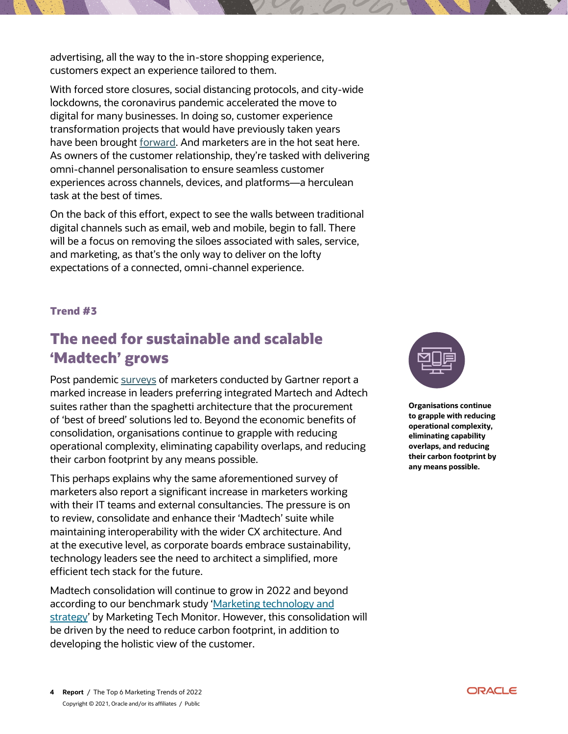advertising, all the way to the in-store shopping experience, customers expect an experience tailored to them.

With forced store closures, social distancing protocols, and city-wide lockdowns, the coronavirus pandemic accelerated the move to digital for many businesses. In doing so, customer experience transformation projects that would have previously taken years have been brought [forward.](https://www.mckinsey.com/business-functions/strategy-and-corporate-finance/our-insights/how-covid-19-has-pushed-companies-over-the-technology-tipping-point-and-transformed-business-forever) And marketers are in the hot seat here. As owners of the customer relationship, they're tasked with delivering omni-channel personalisation to ensure seamless customer experiences across channels, devices, and platforms—a herculean task at the best of times.

On the back of this effort, expect to see the walls between traditional digital channels such as email, web and mobile, begin to fall. There will be a focus on removing the siloes associated with sales, service, and marketing, as that's the only way to deliver on the lofty expectations of a connected, omni-channel experience.

#### **Trend #3**

### **The need for sustainable and scalable 'Madtech' grows**

Post pandemic [surveys](https://www.gartner.com/en/marketing/research/marketing-organizational-survey-2020) of marketers conducted by Gartner report a marked increase in leaders preferring integrated Martech and Adtech suites rather than the spaghetti architecture that the procurement of 'best of breed' solutions led to. Beyond the economic benefits of consolidation, organisations continue to grapple with reducing operational complexity, eliminating capability overlaps, and reducing their carbon footprint by any means possible.

This perhaps explains why the same aforementioned survey of marketers also report a significant increase in marketers working with their IT teams and external consultancies. The pressure is on to review, consolidate and enhance their 'Madtech' suite while maintaining interoperability with the wider CX architecture. And at the executive level, as corporate boards embrace sustainability, technology leaders see the need to architect a simplified, more efficient tech stack for the future.

Madtech consolidation will continue to grow in 2022 and beyond according to our benchmark study ['Marketing technology and](https://go.oracle.com/LP=114152?elqCampaignId=291137)  [strategy'](https://go.oracle.com/LP=114152?elqCampaignId=291137) by Marketing Tech Monitor. However, this consolidation will be driven by the need to reduce carbon footprint, in addition to developing the holistic view of the customer.



**Organisations continue to grapple with reducing operational complexity, eliminating capability overlaps, and reducing their carbon footprint by any means possible.**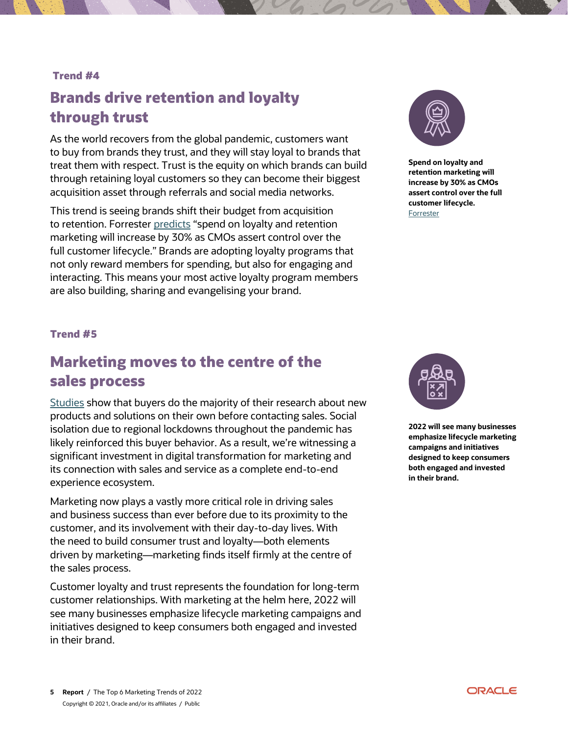#### **Trend #4**

### **Brands drive retention and loyalty through trust**

As the world recovers from the global pandemic, customers want to buy from brands they trust, and they will stay loyal to brands that treat them with respect. Trust is the equity on which brands can build through retaining loyal customers so they can become their biggest acquisition asset through referrals and social media networks.

This trend is seeing brands shift their budget from acquisition to retention. Forreste[r predicts](https://go.forrester.com/press-newsroom/forrester-predictions-2021-digitally-advanced-firms-will-have-a-sustained-advantage-over-their-competitors/) "spend on loyalty and retention marketing will increase by 30% as CMOs assert control over the full customer lifecycle." Brands are adopting loyalty programs that not only reward members for spending, but also for engaging and interacting. This means your most active loyalty program members are also building, sharing and evangelising your brand.



**Spend on loyalty and retention marketing will increase by 30% as CMOs assert control over the full customer lifecycle.** [Forrester](https://go.forrester.com/press-newsroom/forrester-predictions-2021-digitally-advanced-firms-will-have-a-sustained-advantage-over-their-competitors/)

#### **Trend #5**

### **Marketing moves to the centre of the sales process**

[Studies](https://www.marketingweek.com/customer-acquisition-growth-strategy-b2b/) show that buyers do the majority of their research about new products and solutions on their own before contacting sales. Social isolation due to regional lockdowns throughout the pandemic has likely reinforced this buyer behavior. As a result, we're witnessing a significant investment in digital transformation for marketing and its connection with sales and service as a complete end-to-end experience ecosystem.

Marketing now plays a vastly more critical role in driving sales and business success than ever before due to its proximity to the customer, and its involvement with their day-to-day lives. With the need to build consumer trust and loyalty—both elements driven by marketing—marketing finds itself firmly at the centre of the sales process.

Customer loyalty and trust represents the foundation for long-term customer relationships. With marketing at the helm here, 2022 will see many businesses emphasize lifecycle marketing campaigns and initiatives designed to keep consumers both engaged and invested in their brand.



**2022 will see many businesses emphasize lifecycle marketing campaigns and initiatives designed to keep consumers both engaged and invested in their brand.**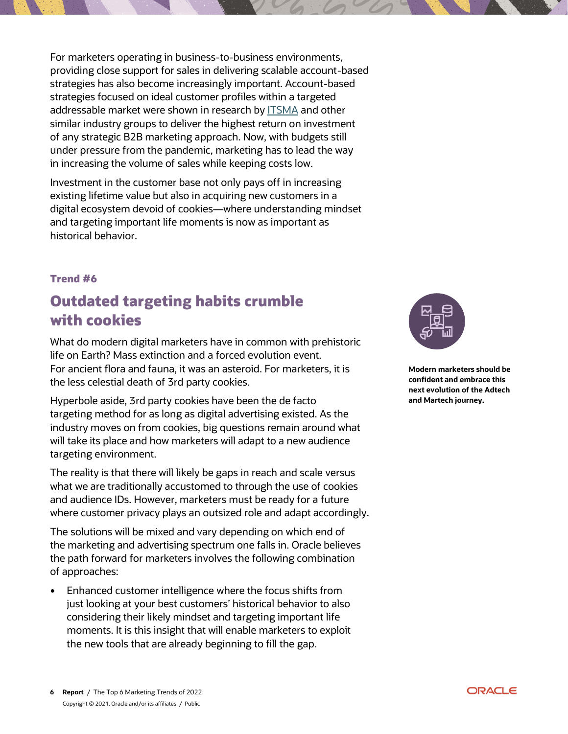For marketers operating in business-to-business environments, providing close support for sales in delivering scalable account-based strategies has also become increasingly important. Account-based strategies focused on ideal customer profiles within a targeted addressable market were shown in research by [ITSMA](https://www.itsma.com/account-based-marketing-hot-topic/) and other similar industry groups to deliver the highest return on investment of any strategic B2B marketing approach. Now, with budgets still under pressure from the pandemic, marketing has to lead the way in increasing the volume of sales while keeping costs low.

Investment in the customer base not only pays off in increasing existing lifetime value but also in acquiring new customers in a digital ecosystem devoid of cookies—where understanding mindset and targeting important life moments is now as important as historical behavior.

#### **Trend #6**

## **Outdated targeting habits crumble with cookies**

What do modern digital marketers have in common with prehistoric life on Earth? Mass extinction and a forced evolution event. For ancient flora and fauna, it was an asteroid. For marketers, it is the less celestial death of 3rd party cookies.

Hyperbole aside, 3rd party cookies have been the de facto targeting method for as long as digital advertising existed. As the industry moves on from cookies, big questions remain around what will take its place and how marketers will adapt to a new audience targeting environment.

The reality is that there will likely be gaps in reach and scale versus what we are traditionally accustomed to through the use of cookies and audience IDs. However, marketers must be ready for a future where customer privacy plays an outsized role and adapt accordingly.

The solutions will be mixed and vary depending on which end of the marketing and advertising spectrum one falls in. Oracle believes the path forward for marketers involves the following combination of approaches:

 Enhanced customer intelligence where the focus shifts from just looking at your best customers' historical behavior to also considering their likely mindset and targeting important life moments. It is this insight that will enable marketers to exploit the new tools that are already beginning to fill the gap.



**Modern marketers should be confident and embrace this next evolution of the Adtech and Martech journey.**